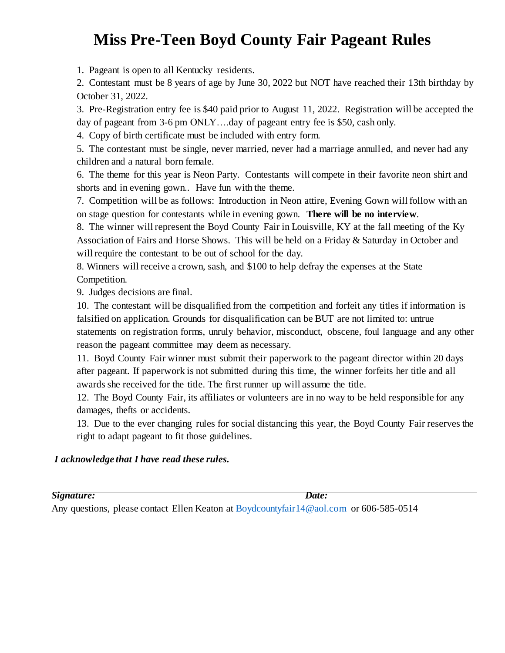## **Miss Pre-Teen Boyd County Fair Pageant Rules**

1. Pageant is open to all Kentucky residents.

2. Contestant must be 8 years of age by June 30, 2022 but NOT have reached their 13th birthday by October 31, 2022.

3. Pre-Registration entry fee is \$40 paid prior to August 11, 2022. Registration will be accepted the day of pageant from 3-6 pm ONLY….day of pageant entry fee is \$50, cash only.

4. Copy of birth certificate must be included with entry form.

5. The contestant must be single, never married, never had a marriage annulled, and never had any children and a natural born female.

6. The theme for this year is Neon Party. Contestants will compete in their favorite neon shirt and shorts and in evening gown.. Have fun with the theme.

7. Competition will be as follows: Introduction in Neon attire, Evening Gown will follow with an on stage question for contestants while in evening gown. **There will be no interview**.

8. The winner will represent the Boyd County Fair in Louisville, KY at the fall meeting of the Ky Association of Fairs and Horse Shows. This will be held on a Friday & Saturday in October and will require the contestant to be out of school for the day.

8. Winners will receive a crown, sash, and \$100 to help defray the expenses at the State Competition.

9. Judges decisions are final.

10. The contestant will be disqualified from the competition and forfeit any titles if information is falsified on application. Grounds for disqualification can be BUT are not limited to: untrue statements on registration forms, unruly behavior, misconduct, obscene, foul language and any other reason the pageant committee may deem as necessary.

11. Boyd County Fair winner must submit their paperwork to the pageant director within 20 days after pageant. If paperwork is not submitted during this time, the winner forfeits her title and all awards she received for the title. The first runner up will assume the title.

12. The Boyd County Fair, its affiliates or volunteers are in no way to be held responsible for any damages, thefts or accidents.

13. Due to the ever changing rules for social distancing this year, the Boyd County Fair reserves the right to adapt pageant to fit those guidelines.

## *I acknowledge that I have read these rules.*

*Signature: Date:* 

Any questions, please contact Ellen Keaton a[t Boydcountyfair14@aol.com](mailto:Boydcountyfair14@aol.com) or 606-585-0514